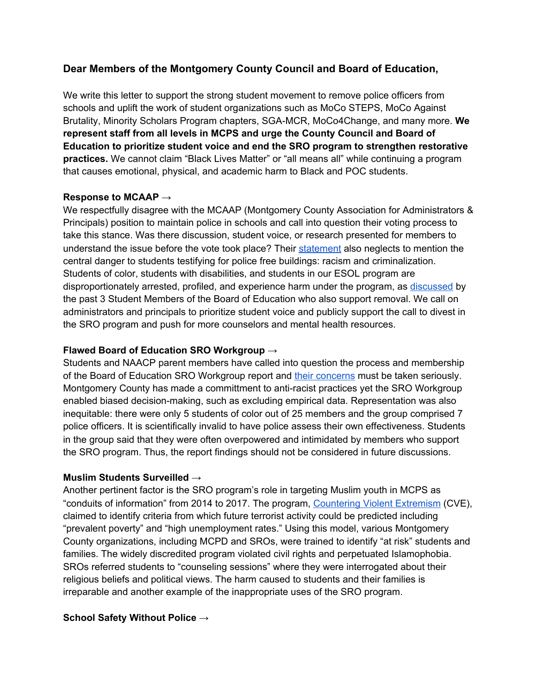# **Dear Members of the Montgomery County Council and Board of Education,**

We write this letter to support the strong student movement to remove police officers from schools and uplift the work of student organizations such as MoCo STEPS, MoCo Against Brutality, Minority Scholars Program chapters, SGA-MCR, MoCo4Change, and many more. **We represent staff from all levels in MCPS and urge the County Council and Board of Education to prioritize student voice and end the SRO program to strengthen restorative practices.** We cannot claim "Black Lives Matter" or "all means all" while continuing a program that causes emotional, physical, and academic harm to Black and POC students.

#### **Response to MCAAP →**

We respectfully disagree with the MCAAP (Montgomery County Association for Administrators & Principals) position to maintain police in schools and call into question their voting process to take this stance. Was there discussion, student voice, or research presented for members to understand the issue before the vote took place? Their [statement](https://www.montgomerycountymd.gov/pol/Resources/Files/SRO/MCAAP%20SRO%20Position%20Statement_BOE.pdf) also neglects to mention the central danger to students testifying for police free buildings: racism and criminalization. Students of color, students with disabilities, and students in our ESOL program are disproportionately arrested, profiled, and experience harm under the program, as [discussed](https://bethesdamagazine.com/bethesda-beat/opinion-montgomery-county-schools-need-counselors-and-nurses-not-cops/) by the past 3 Student Members of the Board of Education who also support removal. We call on administrators and principals to prioritize student voice and publicly support the call to divest in the SRO program and push for more counselors and mental health resources.

### **Flawed Board of Education SRO Workgroup →**

Students and NAACP parent members have called into question the process and membership of the Board of Education SRO Workgroup report and their [concerns](https://documentcloud.adobe.com/link/review?uri=urn:aaid:scds:US:12858ceb-79d9-4435-b6dd-2923aa268581) must be taken seriously. Montgomery County has made a committment to anti-racist practices yet the SRO Workgroup enabled biased decision-making, such as excluding empirical data. Representation was also inequitable: there were only 5 students of color out of 25 members and the group comprised 7 police officers. It is scientifically invalid to have police assess their own effectiveness. Students in the group said that they were often overpowered and intimidated by members who support the SRO program. Thus, the report findings should not be considered in future discussions.

#### **Muslim Students Surveilled →**

Another pertinent factor is the SRO program's role in targeting Muslim youth in MCPS as "conduits of information" from 2014 to 2017. The program, [Countering](https://drive.google.com/file/d/19vn4ogD16jQaR3oD7jW-kVBLFrjltMGY/view) Violent Extremism (CVE), claimed to identify criteria from which future terrorist activity could be predicted including "prevalent poverty" and "high unemployment rates." Using this model, various Montgomery County organizations, including MCPD and SROs, were trained to identify "at risk" students and families. The widely discredited program violated civil rights and perpetuated Islamophobia. SROs referred students to "counseling sessions" where they were interrogated about their religious beliefs and political views. The harm caused to students and their families is irreparable and another example of the inappropriate uses of the SRO program.

## **School Safety Without Police →**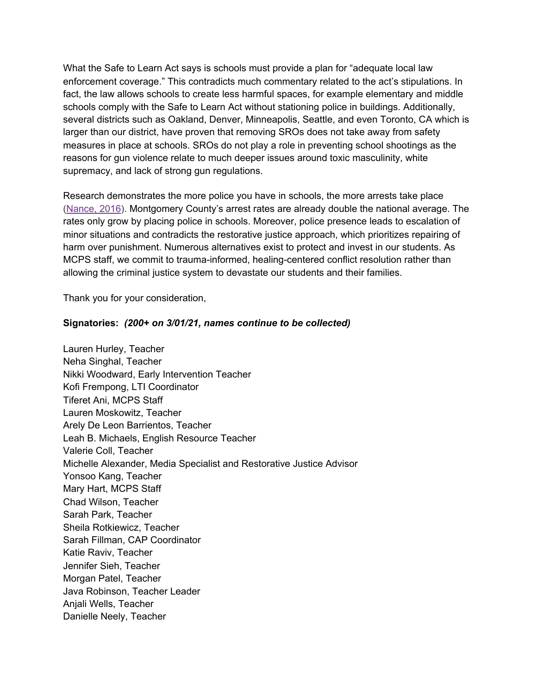What the Safe to Learn Act says is schools must provide a plan for "adequate local law enforcement coverage." This contradicts much commentary related to the act's stipulations. In fact, the law allows schools to create less harmful spaces, for example elementary and middle schools comply with the Safe to Learn Act without stationing police in buildings. Additionally, several districts such as Oakland, Denver, Minneapolis, Seattle, and even Toronto, CA which is larger than our district, have proven that removing SROs does not take away from safety measures in place at schools. SROs do not play a role in preventing school shootings as the reasons for gun violence relate to much deeper issues around toxic masculinity, white supremacy, and lack of strong gun regulations.

Research demonstrates the more police you have in schools, the more arrests take place ([Nance,](https://papers.ssrn.com/sol3/papers.cfm?abstract_id=2577333) 2016). Montgomery County's arrest rates are already double the national average. The rates only grow by placing police in schools. Moreover, police presence leads to escalation of minor situations and contradicts the restorative justice approach, which prioritizes repairing of harm over punishment. Numerous alternatives exist to protect and invest in our students. As MCPS staff, we commit to trauma-informed, healing-centered conflict resolution rather than allowing the criminal justice system to devastate our students and their families.

Thank you for your consideration,

#### **Signatories:** *(200+ on 3/01/21, names continue to be collected)*

Lauren Hurley, Teacher Neha Singhal, Teacher Nikki Woodward, Early Intervention Teacher Kofi Frempong, LTI Coordinator Tiferet Ani, MCPS Staff Lauren Moskowitz, Teacher Arely De Leon Barrientos, Teacher Leah B. Michaels, English Resource Teacher Valerie Coll, Teacher Michelle Alexander, Media Specialist and Restorative Justice Advisor Yonsoo Kang, Teacher Mary Hart, MCPS Staff Chad Wilson, Teacher Sarah Park, Teacher Sheila Rotkiewicz, Teacher Sarah Fillman, CAP Coordinator Katie Raviv, Teacher Jennifer Sieh, Teacher Morgan Patel, Teacher Java Robinson, Teacher Leader Anjali Wells, Teacher Danielle Neely, Teacher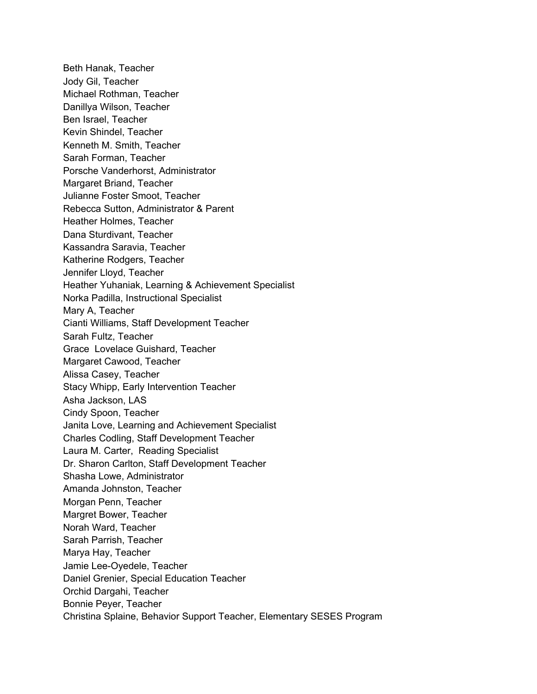Beth Hanak, Teacher Jody Gil, Teacher Michael Rothman, Teacher Danillya Wilson, Teacher Ben Israel, Teacher Kevin Shindel, Teacher Kenneth M. Smith, Teacher Sarah Forman, Teacher Porsche Vanderhorst, Administrator Margaret Briand, Teacher Julianne Foster Smoot, Teacher Rebecca Sutton, Administrator & Parent Heather Holmes, Teacher Dana Sturdivant, Teacher Kassandra Saravia, Teacher Katherine Rodgers, Teacher Jennifer Lloyd, Teacher Heather Yuhaniak, Learning & Achievement Specialist Norka Padilla, Instructional Specialist Mary A, Teacher Cianti Williams, Staff Development Teacher Sarah Fultz, Teacher Grace Lovelace Guishard, Teacher Margaret Cawood, Teacher Alissa Casey, Teacher Stacy Whipp, Early Intervention Teacher Asha Jackson, LAS Cindy Spoon, Teacher Janita Love, Learning and Achievement Specialist Charles Codling, Staff Development Teacher Laura M. Carter, Reading Specialist Dr. Sharon Carlton, Staff Development Teacher Shasha Lowe, Administrator Amanda Johnston, Teacher Morgan Penn, Teacher Margret Bower, Teacher Norah Ward, Teacher Sarah Parrish, Teacher Marya Hay, Teacher Jamie Lee-Oyedele, Teacher Daniel Grenier, Special Education Teacher Orchid Dargahi, Teacher Bonnie Peyer, Teacher Christina Splaine, Behavior Support Teacher, Elementary SESES Program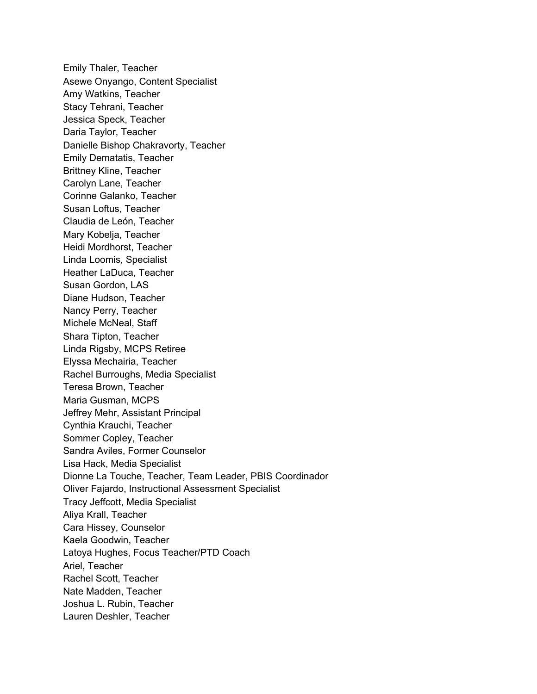Emily Thaler, Teacher Asewe Onyango, Content Specialist Amy Watkins, Teacher Stacy Tehrani, Teacher Jessica Speck, Teacher Daria Taylor, Teacher Danielle Bishop Chakravorty, Teacher Emily Dematatis, Teacher Brittney Kline, Teacher Carolyn Lane, Teacher Corinne Galanko, Teacher Susan Loftus, Teacher Claudia de León, Teacher Mary Kobelja, Teacher Heidi Mordhorst, Teacher Linda Loomis, Specialist Heather LaDuca, Teacher Susan Gordon, LAS Diane Hudson, Teacher Nancy Perry, Teacher Michele McNeal, Staff Shara Tipton, Teacher Linda Rigsby, MCPS Retiree Elyssa Mechairia, Teacher Rachel Burroughs, Media Specialist Teresa Brown, Teacher Maria Gusman, MCPS Jeffrey Mehr, Assistant Principal Cynthia Krauchi, Teacher Sommer Copley, Teacher Sandra Aviles, Former Counselor Lisa Hack, Media Specialist Dionne La Touche, Teacher, Team Leader, PBIS Coordinador Oliver Fajardo, Instructional Assessment Specialist Tracy Jeffcott, Media Specialist Aliya Krall, Teacher Cara Hissey, Counselor Kaela Goodwin, Teacher Latoya Hughes, Focus Teacher/PTD Coach Ariel, Teacher Rachel Scott, Teacher Nate Madden, Teacher Joshua L. Rubin, Teacher Lauren Deshler, Teacher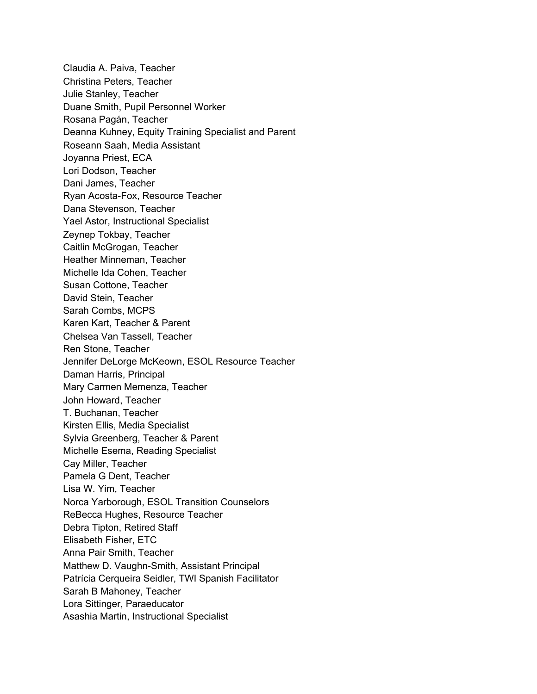Claudia A. Paiva, Teacher Christina Peters, Teacher Julie Stanley, Teacher Duane Smith, Pupil Personnel Worker Rosana Pagán, Teacher Deanna Kuhney, Equity Training Specialist and Parent Roseann Saah, Media Assistant Joyanna Priest, ECA Lori Dodson, Teacher Dani James, Teacher Ryan Acosta-Fox, Resource Teacher Dana Stevenson, Teacher Yael Astor, Instructional Specialist Zeynep Tokbay, Teacher Caitlin McGrogan, Teacher Heather Minneman, Teacher Michelle Ida Cohen, Teacher Susan Cottone, Teacher David Stein, Teacher Sarah Combs, MCPS Karen Kart, Teacher & Parent Chelsea Van Tassell, Teacher Ren Stone, Teacher Jennifer DeLorge McKeown, ESOL Resource Teacher Daman Harris, Principal Mary Carmen Memenza, Teacher John Howard, Teacher T. Buchanan, Teacher Kirsten Ellis, Media Specialist Sylvia Greenberg, Teacher & Parent Michelle Esema, Reading Specialist Cay Miller, Teacher Pamela G Dent, Teacher Lisa W. Yim, Teacher Norca Yarborough, ESOL Transition Counselors ReBecca Hughes, Resource Teacher Debra Tipton, Retired Staff Elisabeth Fisher, ETC Anna Pair Smith, Teacher Matthew D. Vaughn-Smith, Assistant Principal Patrícia Cerqueira Seidler, TWI Spanish Facilitator Sarah B Mahoney, Teacher Lora Sittinger, Paraeducator Asashia Martin, Instructional Specialist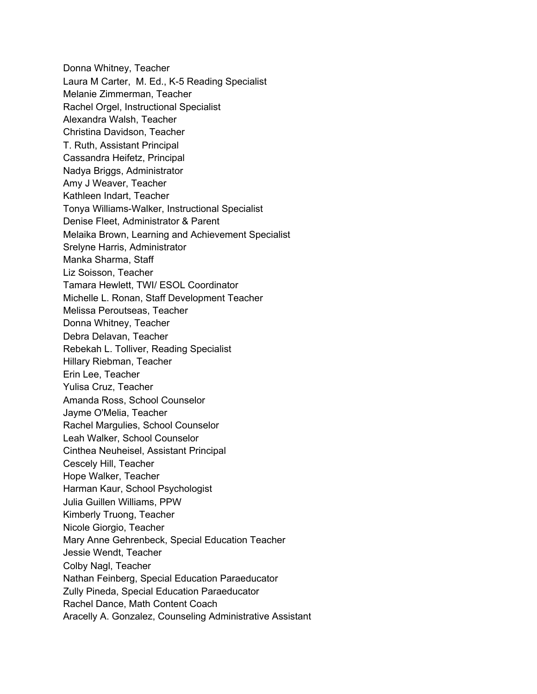Donna Whitney, Teacher Laura M Carter, M. Ed., K-5 Reading Specialist Melanie Zimmerman, Teacher Rachel Orgel, Instructional Specialist Alexandra Walsh, Teacher Christina Davidson, Teacher T. Ruth, Assistant Principal Cassandra Heifetz, Principal Nadya Briggs, Administrator Amy J Weaver, Teacher Kathleen Indart, Teacher Tonya Williams-Walker, Instructional Specialist Denise Fleet, Administrator & Parent Melaika Brown, Learning and Achievement Specialist Srelyne Harris, Administrator Manka Sharma, Staff Liz Soisson, Teacher Tamara Hewlett, TWI/ ESOL Coordinator Michelle L. Ronan, Staff Development Teacher Melissa Peroutseas, Teacher Donna Whitney, Teacher Debra Delavan, Teacher Rebekah L. Tolliver, Reading Specialist Hillary Riebman, Teacher Erin Lee, Teacher Yulisa Cruz, Teacher Amanda Ross, School Counselor Jayme O'Melia, Teacher Rachel Margulies, School Counselor Leah Walker, School Counselor Cinthea Neuheisel, Assistant Principal Cescely Hill, Teacher Hope Walker, Teacher Harman Kaur, School Psychologist Julia Guillen Williams, PPW Kimberly Truong, Teacher Nicole Giorgio, Teacher Mary Anne Gehrenbeck, Special Education Teacher Jessie Wendt, Teacher Colby Nagl, Teacher Nathan Feinberg, Special Education Paraeducator Zully Pineda, Special Education Paraeducator Rachel Dance, Math Content Coach Aracelly A. Gonzalez, Counseling Administrative Assistant